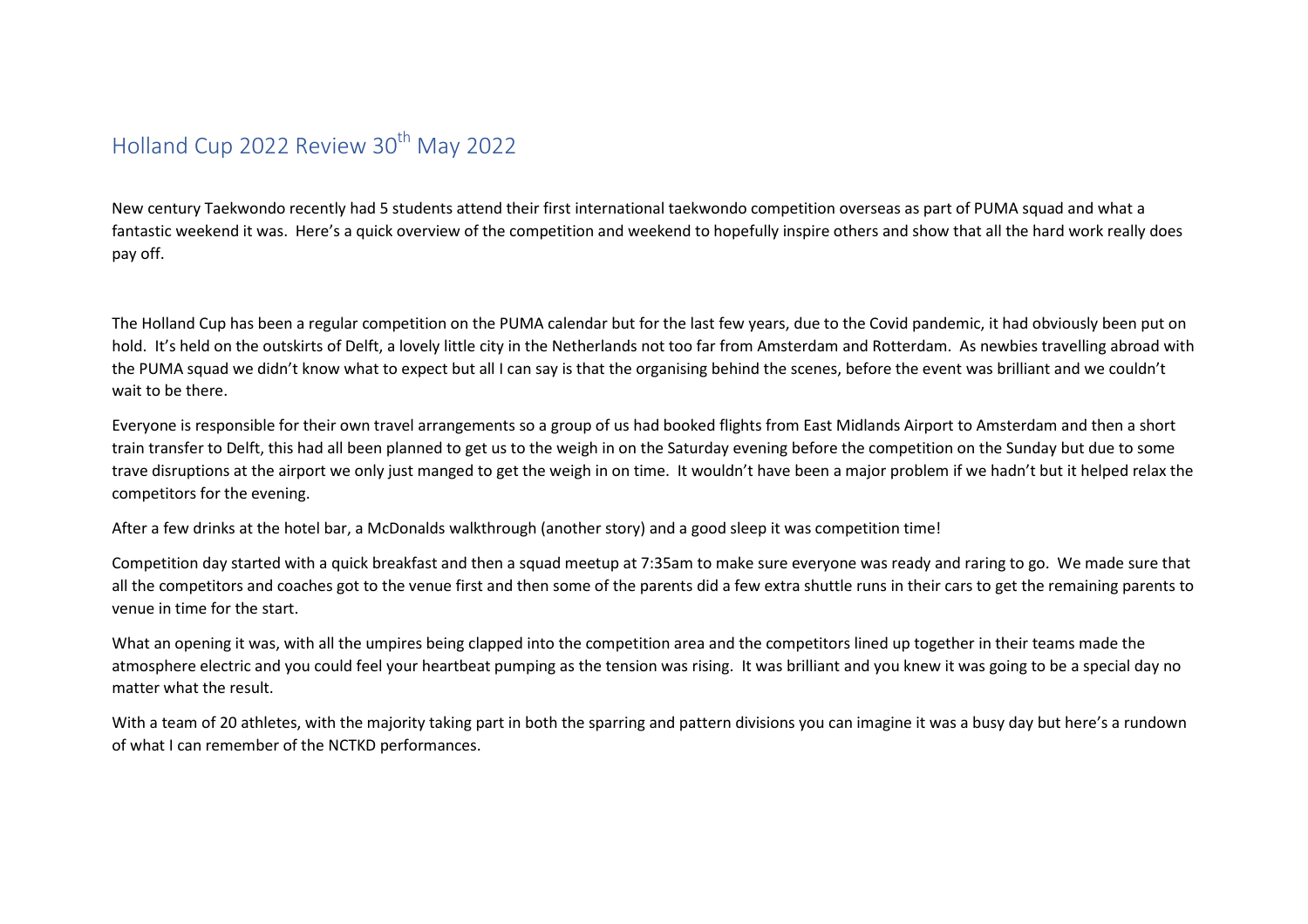## Holland Cup 2022 Review 30<sup>th</sup> May 2022

New century Taekwondo recently had 5 students attend their first international taekwondo competition overseas as part of PUMA squad and what a fantastic weekend it was. Here's a quick overview of the competition and weekend to hopefully inspire others and show that all the hard work really does pay off.

The Holland Cup has been a regular competition on the PUMA calendar but for the last few years, due to the Covid pandemic, it had obviously been put on hold. It's held on the outskirts of Delft, a lovely little city in the Netherlands not too far from Amsterdam and Rotterdam. As newbies travelling abroad with the PUMA squad we didn't know what to expect but all I can say is that the organising behind the scenes, before the event was brilliant and we couldn't wait to be there.

Everyone is responsible for their own travel arrangements so a group of us had booked flights from East Midlands Airport to Amsterdam and then a short train transfer to Delft, this had all been planned to get us to the weigh in on the Saturday evening before the competition on the Sunday but due to some trave disruptions at the airport we only just manged to get the weigh in on time. It wouldn't have been a major problem if we hadn't but it helped relax the competitors for the evening.

After a few drinks at the hotel bar, a McDonalds walkthrough (another story) and a good sleep it was competition time!

Competition day started with a quick breakfast and then a squad meetup at 7:35am to make sure everyone was ready and raring to go. We made sure that all the competitors and coaches got to the venue first and then some of the parents did a few extra shuttle runs in their cars to get the remaining parents to venue in time for the start.

What an opening it was, with all the umpires being clapped into the competition area and the competitors lined up together in their teams made the atmosphere electric and you could feel your heartbeat pumping as the tension was rising. It was brilliant and you knew it was going to be a special day no matter what the result.

With a team of 20 athletes, with the majority taking part in both the sparring and pattern divisions you can imagine it was a busy day but here's a rundown of what I can remember of the NCTKD performances.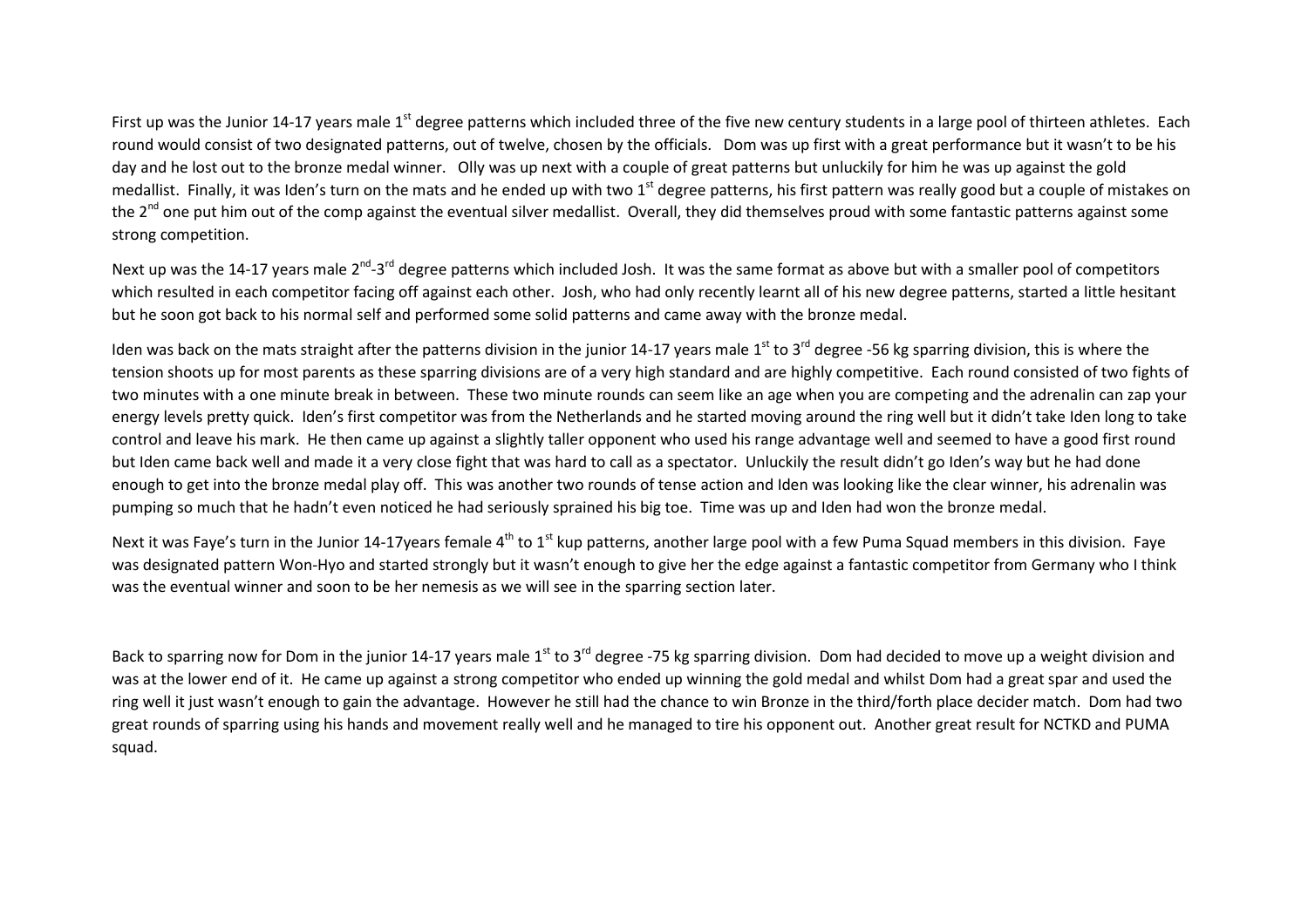First up was the Junior 14-17 years male 1<sup>st</sup> degree patterns which included three of the five new century students in a large pool of thirteen athletes. Each round would consist of two designated patterns, out of twelve, chosen by the officials. Dom was up first with a great performance but it wasn't to be his day and he lost out to the bronze medal winner. Olly was up next with a couple of great patterns but unluckily for him he was up against the gold medallist. Finally, it was Iden's turn on the mats and he ended up with two 1<sup>st</sup> degree patterns, his first pattern was really good but a couple of mistakes on the 2<sup>nd</sup> one put him out of the comp against the eventual silver medallist. Overall, they did themselves proud with some fantastic patterns against some strong competition.

Next up was the 14-17 years male 2<sup>nd</sup>-3<sup>rd</sup> degree patterns which included Josh. It was the same format as above but with a smaller pool of competitors which resulted in each competitor facing off against each other. Josh, who had only recently learnt all of his new degree patterns, started a little hesitant but he soon got back to his normal self and performed some solid patterns and came away with the bronze medal.

Iden was back on the mats straight after the patterns division in the junior 14-17 years male 1<sup>st</sup> to 3<sup>rd</sup> degree -56 kg sparring division, this is where the tension shoots up for most parents as these sparring divisions are of a very high standard and are highly competitive. Each round consisted of two fights of two minutes with a one minute break in between. These two minute rounds can seem like an age when you are competing and the adrenalin can zap your energy levels pretty quick. Iden's first competitor was from the Netherlands and he started moving around the ring well but it didn't take Iden long to take control and leave his mark. He then came up against a slightly taller opponent who used his range advantage well and seemed to have a good first round but Iden came back well and made it a very close fight that was hard to call as a spectator. Unluckily the result didn't go Iden's way but he had done enough to get into the bronze medal play off. This was another two rounds of tense action and Iden was looking like the clear winner, his adrenalin was pumping so much that he hadn't even noticed he had seriously sprained his big toe. Time was up and Iden had won the bronze medal.

Next it was Faye's turn in the Junior 14-17 years female  $4<sup>th</sup>$  to 1<sup>st</sup> kup patterns, another large pool with a few Puma Squad members in this division. Faye was designated pattern Won-Hyo and started strongly but it wasn't enough to give her the edge against a fantastic competitor from Germany who I think was the eventual winner and soon to be her nemesis as we will see in the sparring section later.

Back to sparring now for Dom in the junior 14-17 years male  $1^{st}$  to 3<sup>rd</sup> degree -75 kg sparring division. Dom had decided to move up a weight division and was at the lower end of it. He came up against a strong competitor who ended up winning the gold medal and whilst Dom had a great spar and used the ring well it just wasn't enough to gain the advantage. However he still had the chance to win Bronze in the third/forth place decider match. Dom had two great rounds of sparring using his hands and movement really well and he managed to tire his opponent out. Another great result for NCTKD and PUMA squad.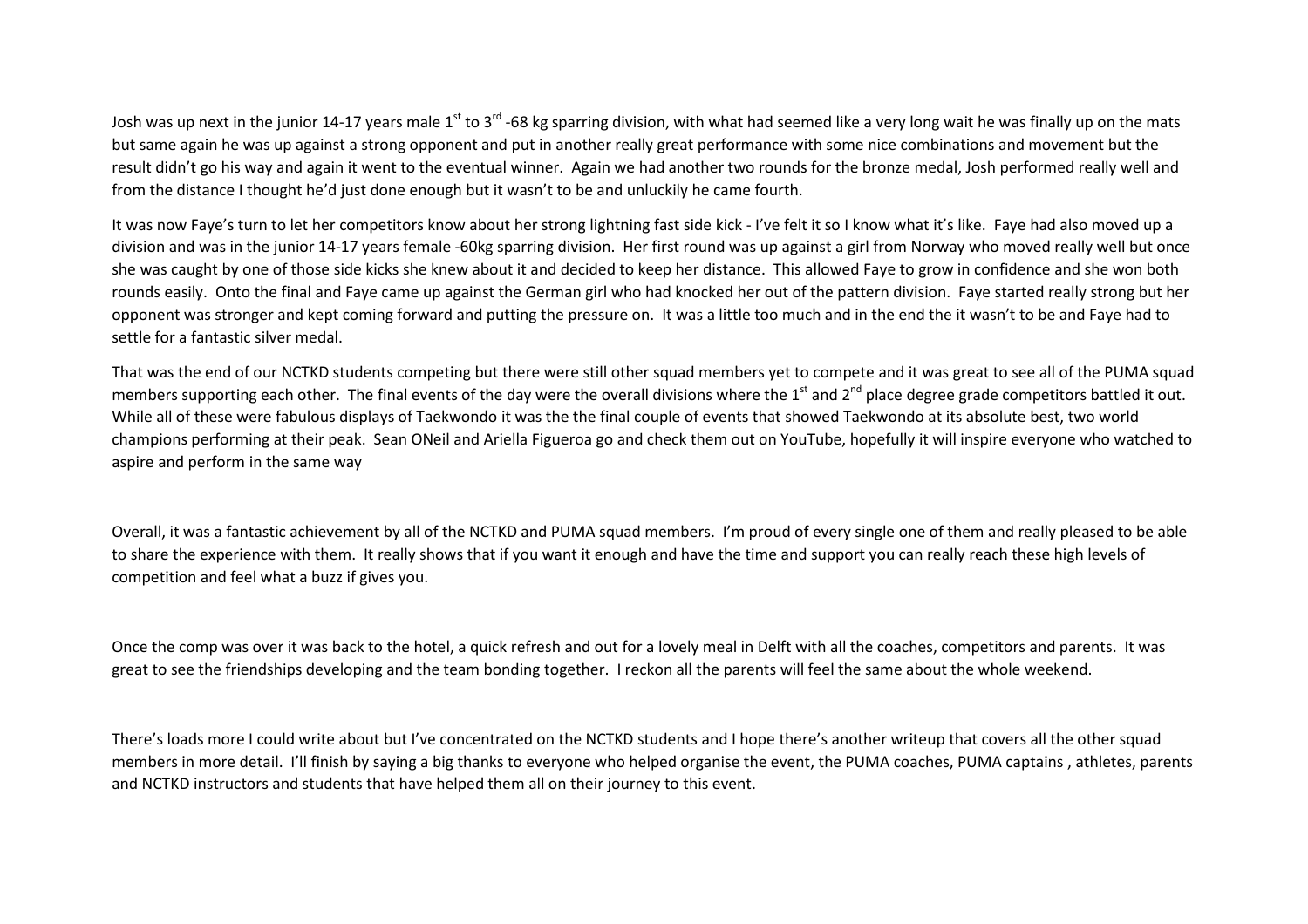Josh was up next in the junior 14-17 years male 1<sup>st</sup> to 3<sup>rd</sup> -68 kg sparring division, with what had seemed like a very long wait he was finally up on the mats but same again he was up against a strong opponent and put in another really great performance with some nice combinations and movement but the result didn't go his way and again it went to the eventual winner. Again we had another two rounds for the bronze medal, Josh performed really well and from the distance I thought he'd just done enough but it wasn't to be and unluckily he came fourth.

It was now Faye's turn to let her competitors know about her strong lightning fast side kick - I've felt it so I know what it's like. Faye had also moved up a division and was in the junior 14-17 years female -60kg sparring division. Her first round was up against a girl from Norway who moved really well but once she was caught by one of those side kicks she knew about it and decided to keep her distance. This allowed Faye to grow in confidence and she won both rounds easily. Onto the final and Faye came up against the German girl who had knocked her out of the pattern division. Faye started really strong but her opponent was stronger and kept coming forward and putting the pressure on. It was a little too much and in the end the it wasn't to be and Faye had to settle for a fantastic silver medal.

That was the end of our NCTKD students competing but there were still other squad members yet to compete and it was great to see all of the PUMA squad members supporting each other. The final events of the day were the overall divisions where the 1<sup>st</sup> and 2<sup>nd</sup> place degree grade competitors battled it out. While all of these were fabulous displays of Taekwondo it was the the final couple of events that showed Taekwondo at its absolute best, two world champions performing at their peak. Sean ONeil and Ariella Figueroa go and check them out on YouTube, hopefully it will inspire everyone who watched to aspire and perform in the same way

Overall, it was a fantastic achievement by all of the NCTKD and PUMA squad members. I'm proud of every single one of them and really pleased to be able to share the experience with them. It really shows that if you want it enough and have the time and support you can really reach these high levels of competition and feel what a buzz if gives you.

Once the comp was over it was back to the hotel, a quick refresh and out for a lovely meal in Delft with all the coaches, competitors and parents. It was great to see the friendships developing and the team bonding together. I reckon all the parents will feel the same about the whole weekend.

There's loads more I could write about but I've concentrated on the NCTKD students and I hope there's another writeup that covers all the other squad members in more detail. I'll finish by saying a big thanks to everyone who helped organise the event, the PUMA coaches, PUMA captains , athletes, parents and NCTKD instructors and students that have helped them all on their journey to this event.